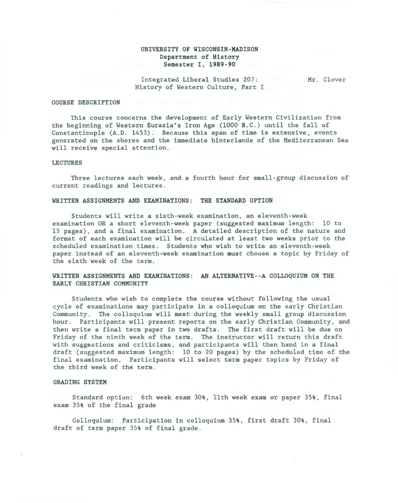# UNIVERSITY OF WISCONSIN-MADISON Department of History Semester I, 1989-90

Integrated Liberal Studies 207: History of Western Culture, Part I Mr. Clover

#### COURSE DESCRIPTION

This course concerns the development of Early Western Civilization from the beginning of Western Eurasia's Iron Age (1000 B.C . ) until the fall of Constantinople  $(A.D. 1453)$ . Because this span of time is extensive, events generated on the shores and the immediate hinterlands of the Mediterranean Sea will receive special attention.

#### LECTURES

Three lectures each week, and a fourth hour for small-group discussion of current readings and lectures .

### WRITTEN ASSIGNMENTS AND EXAMINATIONS: THE STANDARD OPTION

Students will write a sixth-week examination, an eleventh-week examination OR a short eleventh-week paper (suggested maximum length: 10 to 15 pages) , and a final examination . A detailed description of the nature and format of each examination will be circulated at least two weeks prior to the scheduled examination times. Students who wish to write an eleventh-week paper instead of an eleventh-week examination must choose a topic by Friday of the sixth week of the term.

# WRITTEN ASSIGNMENTS AND EXAMINATIONS: AN ALTERNATIVE--A COLLOQUIUM ON THE EARLY CHRISTIAN COMMUNITY

Students who wish to complete the course without following the usual cycle of examinations may participate in a colloquium on the early Christian Community. The colloquium will meet during the weekly small group discussion hour. Participants will present reports on the early Christian Community, and then write a final term paper in two drafts. The first draft will be due on Friday of the ninth week of the term. The instructor will return this draft with suggestions and criticisms, and participants will then hand in a final draft (suggested maximum length: 10 to 20 pages) by the scheduled time of the final examination. Participants will select term paper topics by Friday of the third week of the term .

# GRADING SYSTEM

Standard option: 6th week exam 30%, llth week exam or paper 35%, final exam 35% of the final grade

Colloquium: Participation in colloquium 35%, first draft 30%, final draft of term paper 35% of final grade .